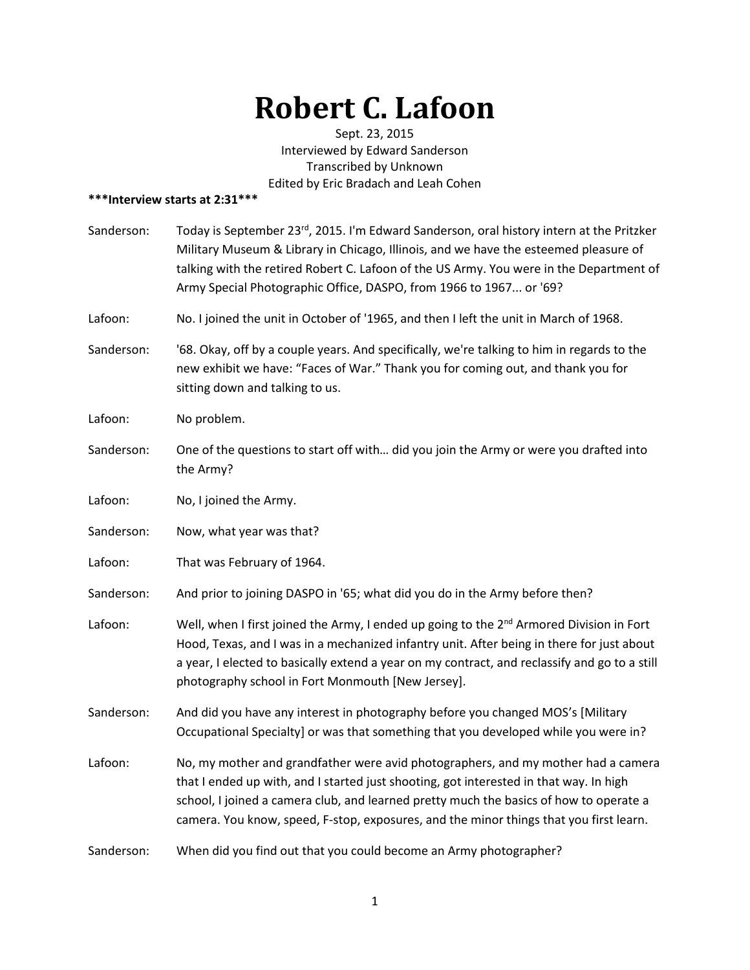## **Robert C. Lafoon**

Sept. 23, 2015 Interviewed by Edward Sanderson Transcribed by Unknown Edited by Eric Bradach and Leah Cohen

## **\*\*\*Interview starts at 2:31\*\*\***

| Sanderson: | Today is September 23rd, 2015. I'm Edward Sanderson, oral history intern at the Pritzker<br>Military Museum & Library in Chicago, Illinois, and we have the esteemed pleasure of<br>talking with the retired Robert C. Lafoon of the US Army. You were in the Department of<br>Army Special Photographic Office, DASPO, from 1966 to 1967 or '69?               |
|------------|-----------------------------------------------------------------------------------------------------------------------------------------------------------------------------------------------------------------------------------------------------------------------------------------------------------------------------------------------------------------|
| Lafoon:    | No. I joined the unit in October of '1965, and then I left the unit in March of 1968.                                                                                                                                                                                                                                                                           |
| Sanderson: | '68. Okay, off by a couple years. And specifically, we're talking to him in regards to the<br>new exhibit we have: "Faces of War." Thank you for coming out, and thank you for<br>sitting down and talking to us.                                                                                                                                               |
| Lafoon:    | No problem.                                                                                                                                                                                                                                                                                                                                                     |
| Sanderson: | One of the questions to start off with did you join the Army or were you drafted into<br>the Army?                                                                                                                                                                                                                                                              |
| Lafoon:    | No, I joined the Army.                                                                                                                                                                                                                                                                                                                                          |
| Sanderson: | Now, what year was that?                                                                                                                                                                                                                                                                                                                                        |
| Lafoon:    | That was February of 1964.                                                                                                                                                                                                                                                                                                                                      |
| Sanderson: | And prior to joining DASPO in '65; what did you do in the Army before then?                                                                                                                                                                                                                                                                                     |
| Lafoon:    | Well, when I first joined the Army, I ended up going to the 2 <sup>nd</sup> Armored Division in Fort<br>Hood, Texas, and I was in a mechanized infantry unit. After being in there for just about<br>a year, I elected to basically extend a year on my contract, and reclassify and go to a still<br>photography school in Fort Monmouth [New Jersey].         |
| Sanderson: | And did you have any interest in photography before you changed MOS's [Military<br>Occupational Specialty] or was that something that you developed while you were in?                                                                                                                                                                                          |
| Lafoon:    | No, my mother and grandfather were avid photographers, and my mother had a camera<br>that I ended up with, and I started just shooting, got interested in that way. In high<br>school, I joined a camera club, and learned pretty much the basics of how to operate a<br>camera. You know, speed, F-stop, exposures, and the minor things that you first learn. |
| Sanderson: | When did you find out that you could become an Army photographer?                                                                                                                                                                                                                                                                                               |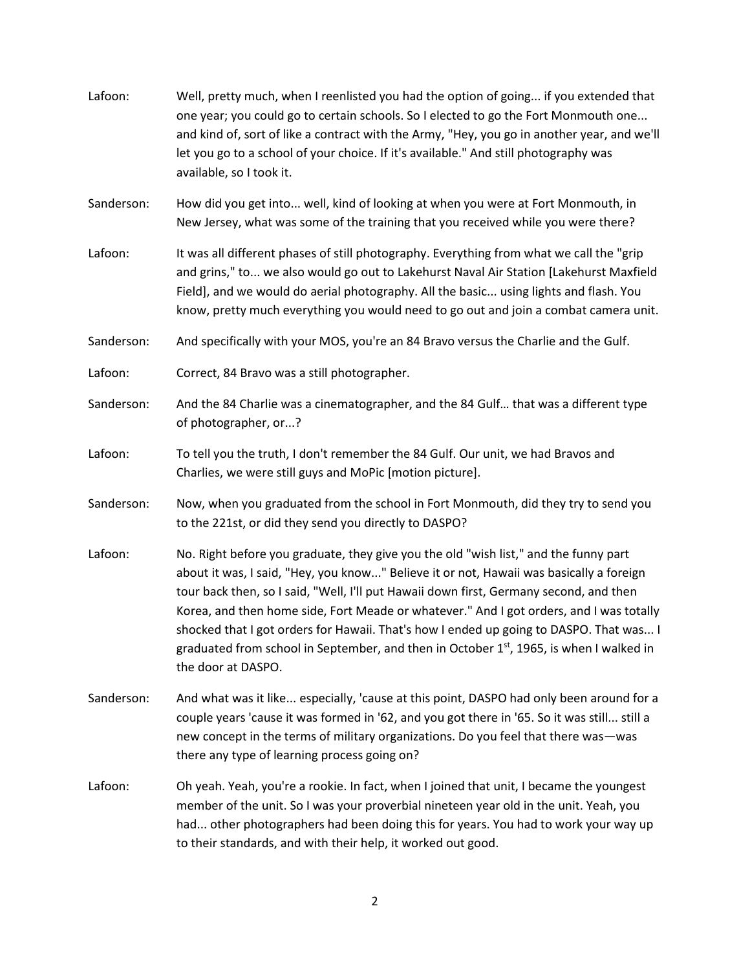| Lafoon:    | Well, pretty much, when I reenlisted you had the option of going if you extended that<br>one year; you could go to certain schools. So I elected to go the Fort Monmouth one<br>and kind of, sort of like a contract with the Army, "Hey, you go in another year, and we'll<br>let you go to a school of your choice. If it's available." And still photography was<br>available, so I took it.                                                                                                                                                                                |
|------------|--------------------------------------------------------------------------------------------------------------------------------------------------------------------------------------------------------------------------------------------------------------------------------------------------------------------------------------------------------------------------------------------------------------------------------------------------------------------------------------------------------------------------------------------------------------------------------|
| Sanderson: | How did you get into well, kind of looking at when you were at Fort Monmouth, in<br>New Jersey, what was some of the training that you received while you were there?                                                                                                                                                                                                                                                                                                                                                                                                          |
| Lafoon:    | It was all different phases of still photography. Everything from what we call the "grip<br>and grins," to we also would go out to Lakehurst Naval Air Station [Lakehurst Maxfield<br>Field], and we would do aerial photography. All the basic using lights and flash. You<br>know, pretty much everything you would need to go out and join a combat camera unit.                                                                                                                                                                                                            |
| Sanderson: | And specifically with your MOS, you're an 84 Bravo versus the Charlie and the Gulf.                                                                                                                                                                                                                                                                                                                                                                                                                                                                                            |
| Lafoon:    | Correct, 84 Bravo was a still photographer.                                                                                                                                                                                                                                                                                                                                                                                                                                                                                                                                    |
| Sanderson: | And the 84 Charlie was a cinematographer, and the 84 Gulf that was a different type<br>of photographer, or?                                                                                                                                                                                                                                                                                                                                                                                                                                                                    |
| Lafoon:    | To tell you the truth, I don't remember the 84 Gulf. Our unit, we had Bravos and<br>Charlies, we were still guys and MoPic [motion picture].                                                                                                                                                                                                                                                                                                                                                                                                                                   |
| Sanderson: | Now, when you graduated from the school in Fort Monmouth, did they try to send you<br>to the 221st, or did they send you directly to DASPO?                                                                                                                                                                                                                                                                                                                                                                                                                                    |
| Lafoon:    | No. Right before you graduate, they give you the old "wish list," and the funny part<br>about it was, I said, "Hey, you know" Believe it or not, Hawaii was basically a foreign<br>tour back then, so I said, "Well, I'll put Hawaii down first, Germany second, and then<br>Korea, and then home side, Fort Meade or whatever." And I got orders, and I was totally<br>shocked that I got orders for Hawaii. That's how I ended up going to DASPO. That was I<br>graduated from school in September, and then in October 1st, 1965, is when I walked in<br>the door at DASPO. |
| Sanderson: | And what was it like especially, 'cause at this point, DASPO had only been around for a<br>couple years 'cause it was formed in '62, and you got there in '65. So it was still still a<br>new concept in the terms of military organizations. Do you feel that there was-was<br>there any type of learning process going on?                                                                                                                                                                                                                                                   |
| Lafoon:    | Oh yeah. Yeah, you're a rookie. In fact, when I joined that unit, I became the youngest<br>member of the unit. So I was your proverbial nineteen year old in the unit. Yeah, you<br>had other photographers had been doing this for years. You had to work your way up<br>to their standards, and with their help, it worked out good.                                                                                                                                                                                                                                         |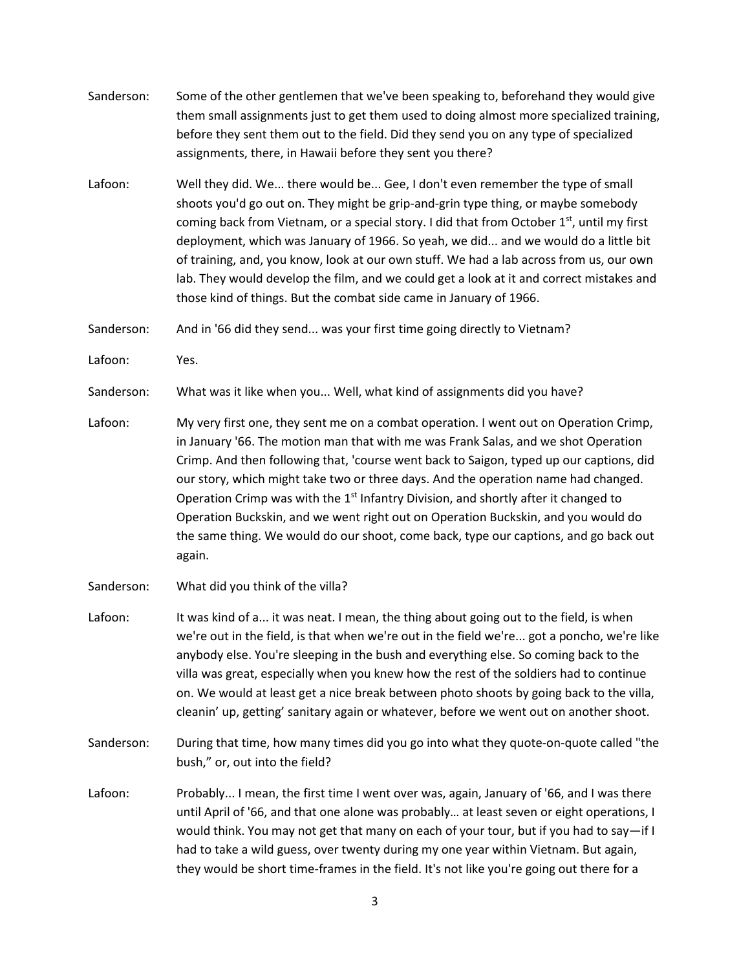- Sanderson: Some of the other gentlemen that we've been speaking to, beforehand they would give them small assignments just to get them used to doing almost more specialized training, before they sent them out to the field. Did they send you on any type of specialized assignments, there, in Hawaii before they sent you there? Lafoon: Well they did. We... there would be... Gee, I don't even remember the type of small shoots you'd go out on. They might be grip-and-grin type thing, or maybe somebody coming back from Vietnam, or a special story. I did that from October  $1<sup>st</sup>$ , until my first deployment, which was January of 1966. So yeah, we did... and we would do a little bit of training, and, you know, look at our own stuff. We had a lab across from us, our own lab. They would develop the film, and we could get a look at it and correct mistakes and those kind of things. But the combat side came in January of 1966. Sanderson: And in '66 did they send... was your first time going directly to Vietnam? Lafoon: Yes. Sanderson: What was it like when you... Well, what kind of assignments did you have? Lafoon: My very first one, they sent me on a combat operation. I went out on Operation Crimp, in January '66. The motion man that with me was Frank Salas, and we shot Operation Crimp. And then following that, 'course went back to Saigon, typed up our captions, did our story, which might take two or three days. And the operation name had changed. Operation Crimp was with the 1<sup>st</sup> Infantry Division, and shortly after it changed to Operation Buckskin, and we went right out on Operation Buckskin, and you would do the same thing. We would do our shoot, come back, type our captions, and go back out again. Sanderson: What did you think of the villa? Lafoon: It was kind of a... it was neat. I mean, the thing about going out to the field, is when
- we're out in the field, is that when we're out in the field we're... got a poncho, we're like anybody else. You're sleeping in the bush and everything else. So coming back to the villa was great, especially when you knew how the rest of the soldiers had to continue on. We would at least get a nice break between photo shoots by going back to the villa, cleanin' up, getting' sanitary again or whatever, before we went out on another shoot.
- Sanderson: During that time, how many times did you go into what they quote-on-quote called "the bush," or, out into the field?
- Lafoon: Probably... I mean, the first time I went over was, again, January of '66, and I was there until April of '66, and that one alone was probably… at least seven or eight operations, I would think. You may not get that many on each of your tour, but if you had to say—if I had to take a wild guess, over twenty during my one year within Vietnam. But again, they would be short time-frames in the field. It's not like you're going out there for a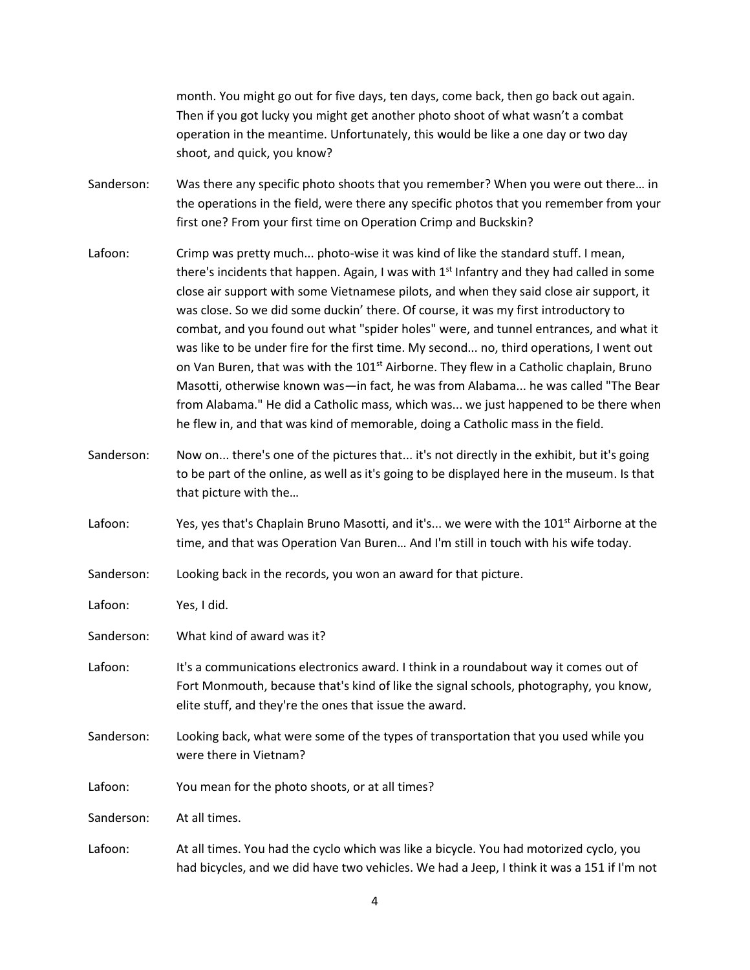month. You might go out for five days, ten days, come back, then go back out again. Then if you got lucky you might get another photo shoot of what wasn't a combat operation in the meantime. Unfortunately, this would be like a one day or two day shoot, and quick, you know?

- Sanderson: Was there any specific photo shoots that you remember? When you were out there… in the operations in the field, were there any specific photos that you remember from your first one? From your first time on Operation Crimp and Buckskin?
- Lafoon: Crimp was pretty much... photo-wise it was kind of like the standard stuff. I mean, there's incidents that happen. Again, I was with 1<sup>st</sup> Infantry and they had called in some close air support with some Vietnamese pilots, and when they said close air support, it was close. So we did some duckin' there. Of course, it was my first introductory to combat, and you found out what "spider holes" were, and tunnel entrances, and what it was like to be under fire for the first time. My second... no, third operations, I went out on Van Buren, that was with the 101<sup>st</sup> Airborne. They flew in a Catholic chaplain, Bruno Masotti, otherwise known was—in fact, he was from Alabama... he was called "The Bear from Alabama." He did a Catholic mass, which was... we just happened to be there when he flew in, and that was kind of memorable, doing a Catholic mass in the field.
- Sanderson: Now on... there's one of the pictures that... it's not directly in the exhibit, but it's going to be part of the online, as well as it's going to be displayed here in the museum. Is that that picture with the…
- Lafoon: Yes, yes that's Chaplain Bruno Masotti, and it's... we were with the 101<sup>st</sup> Airborne at the time, and that was Operation Van Buren… And I'm still in touch with his wife today.

Sanderson: Looking back in the records, you won an award for that picture.

Lafoon: Yes, I did.

Sanderson: What kind of award was it?

- Lafoon: It's a communications electronics award. I think in a roundabout way it comes out of Fort Monmouth, because that's kind of like the signal schools, photography, you know, elite stuff, and they're the ones that issue the award.
- Sanderson: Looking back, what were some of the types of transportation that you used while you were there in Vietnam?
- Lafoon: You mean for the photo shoots, or at all times?

Sanderson: At all times.

Lafoon: At all times. You had the cyclo which was like a bicycle. You had motorized cyclo, you had bicycles, and we did have two vehicles. We had a Jeep, I think it was a 151 if I'm not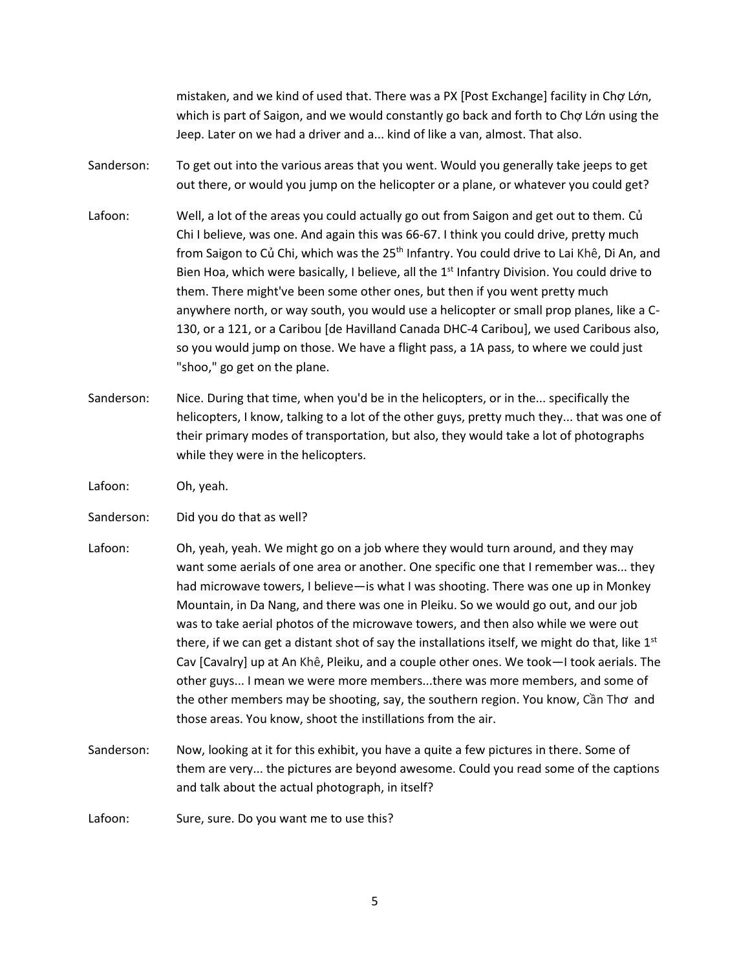mistaken, and we kind of used that. There was a PX [Post Exchange] facility in Chợ Lớn, which is part of Saigon, and we would constantly go back and forth to Chơ Lớn using the Jeep. Later on we had a driver and a... kind of like a van, almost. That also.

- Sanderson: To get out into the various areas that you went. Would you generally take jeeps to get out there, or would you jump on the helicopter or a plane, or whatever you could get?
- Lafoon: Well, a lot of the areas you could actually go out from Saigon and get out to them. Củ Chi I believe, was one. And again this was 66-67. I think you could drive, pretty much from Saigon to Củ Chi, which was the 25<sup>th</sup> Infantry. You could drive to Lai Khê, Di An, and Bien Hoa, which were basically, I believe, all the 1<sup>st</sup> Infantry Division. You could drive to them. There might've been some other ones, but then if you went pretty much anywhere north, or way south, you would use a helicopter or small prop planes, like a C-130, or a 121, or a Caribou [de Havilland Canada DHC-4 Caribou], we used Caribous also, so you would jump on those. We have a flight pass, a 1A pass, to where we could just "shoo," go get on the plane.
- Sanderson: Nice. During that time, when you'd be in the helicopters, or in the... specifically the helicopters, I know, talking to a lot of the other guys, pretty much they... that was one of their primary modes of transportation, but also, they would take a lot of photographs while they were in the helicopters.
- Lafoon: Oh, yeah.
- Sanderson: Did you do that as well?
- Lafoon: Oh, yeah, yeah. We might go on a job where they would turn around, and they may want some aerials of one area or another. One specific one that I remember was... they had microwave towers, I believe—is what I was shooting. There was one up in Monkey Mountain, in Da Nang, and there was one in Pleiku. So we would go out, and our job was to take aerial photos of the microwave towers, and then also while we were out there, if we can get a distant shot of say the installations itself, we might do that, like  $1<sup>st</sup>$ Cav [Cavalry] up at An Khê, Pleiku, and a couple other ones. We took—I took aerials. The other guys... I mean we were more members...there was more members, and some of the other members may be shooting, say, the southern region. You know, Cần Thơ and those areas. You know, shoot the instillations from the air.
- Sanderson: Now, looking at it for this exhibit, you have a quite a few pictures in there. Some of them are very... the pictures are beyond awesome. Could you read some of the captions and talk about the actual photograph, in itself?
- Lafoon: Sure, sure. Do you want me to use this?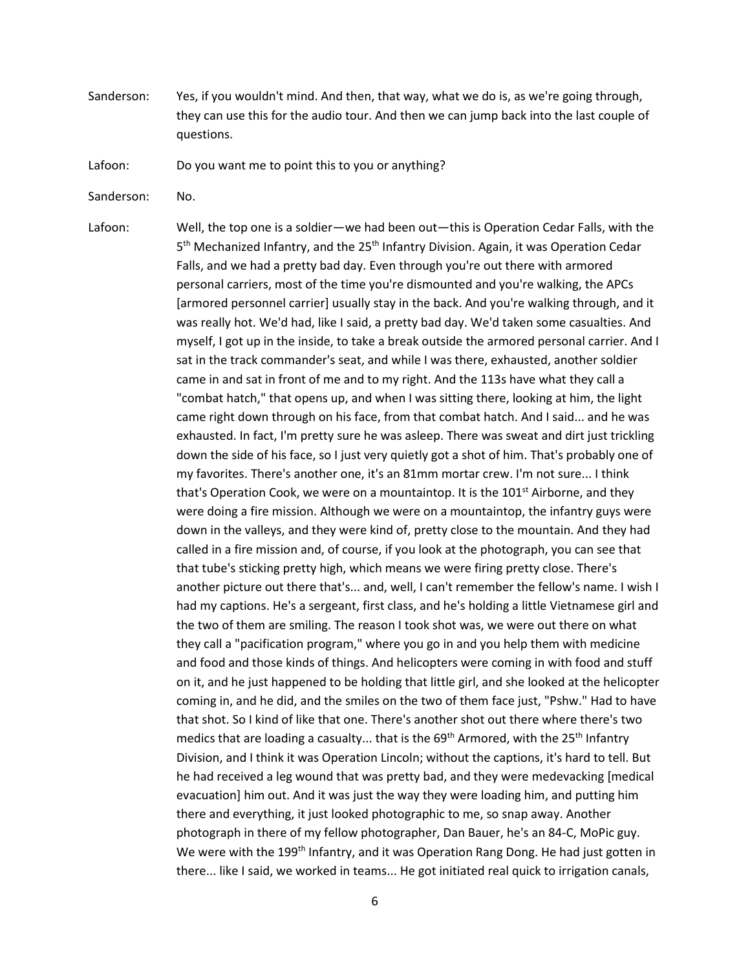- Sanderson: Yes, if you wouldn't mind. And then, that way, what we do is, as we're going through, they can use this for the audio tour. And then we can jump back into the last couple of questions.
- Lafoon: Do you want me to point this to you or anything?
- Sanderson: No.
- Lafoon: Well, the top one is a soldier—we had been out—this is Operation Cedar Falls, with the 5<sup>th</sup> Mechanized Infantry, and the 25<sup>th</sup> Infantry Division. Again, it was Operation Cedar Falls, and we had a pretty bad day. Even through you're out there with armored personal carriers, most of the time you're dismounted and you're walking, the APCs [armored personnel carrier] usually stay in the back. And you're walking through, and it was really hot. We'd had, like I said, a pretty bad day. We'd taken some casualties. And myself, I got up in the inside, to take a break outside the armored personal carrier. And I sat in the track commander's seat, and while I was there, exhausted, another soldier came in and sat in front of me and to my right. And the 113s have what they call a "combat hatch," that opens up, and when I was sitting there, looking at him, the light came right down through on his face, from that combat hatch. And I said... and he was exhausted. In fact, I'm pretty sure he was asleep. There was sweat and dirt just trickling down the side of his face, so I just very quietly got a shot of him. That's probably one of my favorites. There's another one, it's an 81mm mortar crew. I'm not sure... I think that's Operation Cook, we were on a mountaintop. It is the  $101<sup>st</sup>$  Airborne, and they were doing a fire mission. Although we were on a mountaintop, the infantry guys were down in the valleys, and they were kind of, pretty close to the mountain. And they had called in a fire mission and, of course, if you look at the photograph, you can see that that tube's sticking pretty high, which means we were firing pretty close. There's another picture out there that's... and, well, I can't remember the fellow's name. I wish I had my captions. He's a sergeant, first class, and he's holding a little Vietnamese girl and the two of them are smiling. The reason I took shot was, we were out there on what they call a "pacification program," where you go in and you help them with medicine and food and those kinds of things. And helicopters were coming in with food and stuff on it, and he just happened to be holding that little girl, and she looked at the helicopter coming in, and he did, and the smiles on the two of them face just, "Pshw." Had to have that shot. So I kind of like that one. There's another shot out there where there's two medics that are loading a casualty... that is the  $69<sup>th</sup>$  Armored, with the  $25<sup>th</sup>$  Infantry Division, and I think it was Operation Lincoln; without the captions, it's hard to tell. But he had received a leg wound that was pretty bad, and they were medevacking [medical evacuation] him out. And it was just the way they were loading him, and putting him there and everything, it just looked photographic to me, so snap away. Another photograph in there of my fellow photographer, Dan Bauer, he's an 84-C, MoPic guy. We were with the 199<sup>th</sup> Infantry, and it was Operation Rang Dong. He had just gotten in there... like I said, we worked in teams... He got initiated real quick to irrigation canals,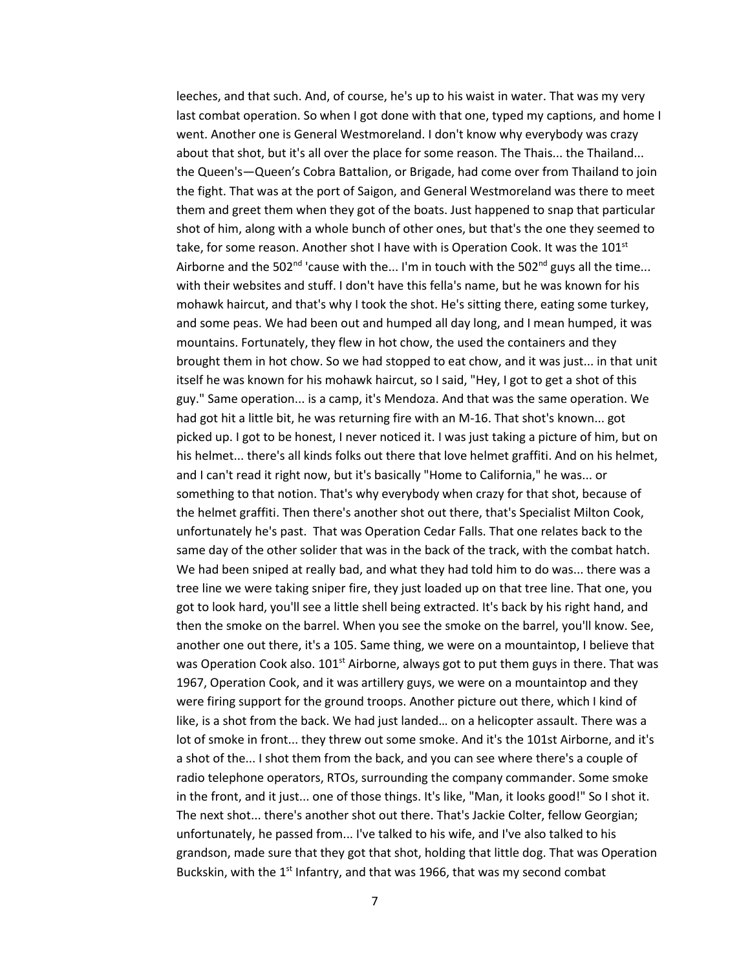leeches, and that such. And, of course, he's up to his waist in water. That was my very last combat operation. So when I got done with that one, typed my captions, and home I went. Another one is General Westmoreland. I don't know why everybody was crazy about that shot, but it's all over the place for some reason. The Thais... the Thailand... the Queen's—Queen's Cobra Battalion, or Brigade, had come over from Thailand to join the fight. That was at the port of Saigon, and General Westmoreland was there to meet them and greet them when they got of the boats. Just happened to snap that particular shot of him, along with a whole bunch of other ones, but that's the one they seemed to take, for some reason. Another shot I have with is Operation Cook. It was the  $101<sup>st</sup>$ Airborne and the 502<sup>nd</sup> 'cause with the... I'm in touch with the 502<sup>nd</sup> guys all the time... with their websites and stuff. I don't have this fella's name, but he was known for his mohawk haircut, and that's why I took the shot. He's sitting there, eating some turkey, and some peas. We had been out and humped all day long, and I mean humped, it was mountains. Fortunately, they flew in hot chow, the used the containers and they brought them in hot chow. So we had stopped to eat chow, and it was just... in that unit itself he was known for his mohawk haircut, so I said, "Hey, I got to get a shot of this guy." Same operation... is a camp, it's Mendoza. And that was the same operation. We had got hit a little bit, he was returning fire with an M-16. That shot's known... got picked up. I got to be honest, I never noticed it. I was just taking a picture of him, but on his helmet... there's all kinds folks out there that love helmet graffiti. And on his helmet, and I can't read it right now, but it's basically "Home to California," he was... or something to that notion. That's why everybody when crazy for that shot, because of the helmet graffiti. Then there's another shot out there, that's Specialist Milton Cook, unfortunately he's past. That was Operation Cedar Falls. That one relates back to the same day of the other solider that was in the back of the track, with the combat hatch. We had been sniped at really bad, and what they had told him to do was... there was a tree line we were taking sniper fire, they just loaded up on that tree line. That one, you got to look hard, you'll see a little shell being extracted. It's back by his right hand, and then the smoke on the barrel. When you see the smoke on the barrel, you'll know. See, another one out there, it's a 105. Same thing, we were on a mountaintop, I believe that was Operation Cook also.  $101<sup>st</sup>$  Airborne, always got to put them guys in there. That was 1967, Operation Cook, and it was artillery guys, we were on a mountaintop and they were firing support for the ground troops. Another picture out there, which I kind of like, is a shot from the back. We had just landed… on a helicopter assault. There was a lot of smoke in front... they threw out some smoke. And it's the 101st Airborne, and it's a shot of the... I shot them from the back, and you can see where there's a couple of radio telephone operators, RTOs, surrounding the company commander. Some smoke in the front, and it just... one of those things. It's like, "Man, it looks good!" So I shot it. The next shot... there's another shot out there. That's Jackie Colter, fellow Georgian; unfortunately, he passed from... I've talked to his wife, and I've also talked to his grandson, made sure that they got that shot, holding that little dog. That was Operation Buckskin, with the  $1<sup>st</sup>$  Infantry, and that was 1966, that was my second combat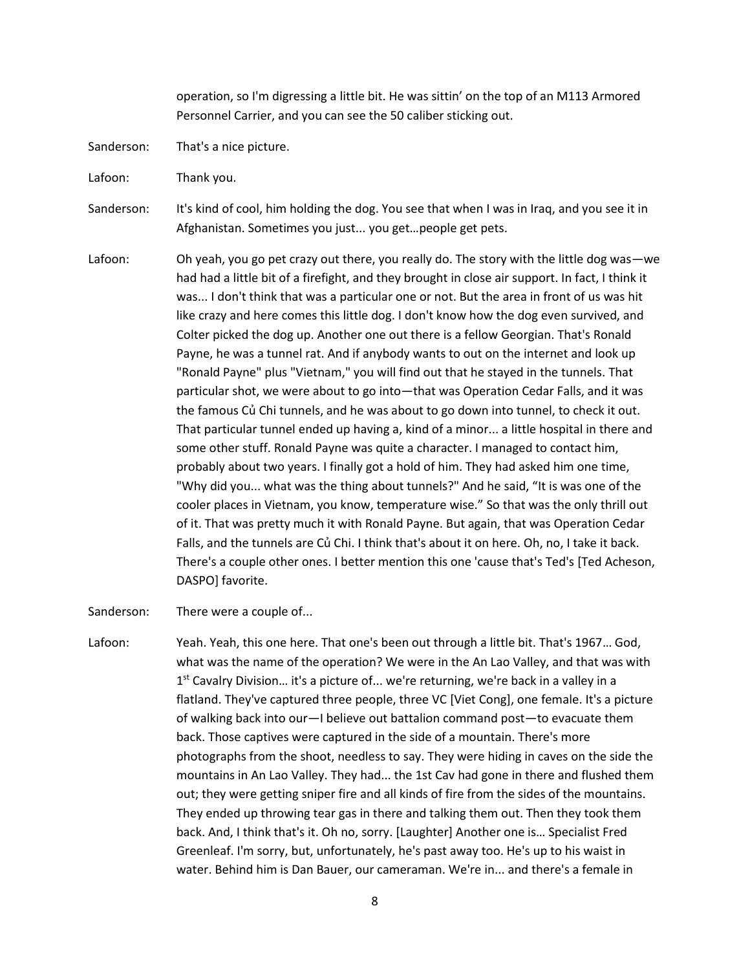operation, so I'm digressing a little bit. He was sittin' on the top of an M113 Armored Personnel Carrier, and you can see the 50 caliber sticking out.

- Sanderson: That's a nice picture.
- Lafoon: Thank you.
- Sanderson: It's kind of cool, him holding the dog. You see that when I was in Iraq, and you see it in Afghanistan. Sometimes you just... you get…people get pets.
- Lafoon: Oh yeah, you go pet crazy out there, you really do. The story with the little dog was—we had had a little bit of a firefight, and they brought in close air support. In fact, I think it was... I don't think that was a particular one or not. But the area in front of us was hit like crazy and here comes this little dog. I don't know how the dog even survived, and Colter picked the dog up. Another one out there is a fellow Georgian. That's Ronald Payne, he was a tunnel rat. And if anybody wants to out on the internet and look up "Ronald Payne" plus "Vietnam," you will find out that he stayed in the tunnels. That particular shot, we were about to go into—that was Operation Cedar Falls, and it was the famous Củ Chi tunnels, and he was about to go down into tunnel, to check it out. That particular tunnel ended up having a, kind of a minor... a little hospital in there and some other stuff. Ronald Payne was quite a character. I managed to contact him, probably about two years. I finally got a hold of him. They had asked him one time, "Why did you... what was the thing about tunnels?" And he said, "It is was one of the cooler places in Vietnam, you know, temperature wise." So that was the only thrill out of it. That was pretty much it with Ronald Payne. But again, that was Operation Cedar Falls, and the tunnels are Củ Chi. I think that's about it on here. Oh, no, I take it back. There's a couple other ones. I better mention this one 'cause that's Ted's [Ted Acheson, DASPO] favorite.
- Sanderson: There were a couple of...
- Lafoon: Yeah. Yeah, this one here. That one's been out through a little bit. That's 1967… God, what was the name of the operation? We were in the An Lao Valley, and that was with 1<sup>st</sup> Cavalry Division... it's a picture of... we're returning, we're back in a valley in a flatland. They've captured three people, three VC [Viet Cong], one female. It's a picture of walking back into our—I believe out battalion command post—to evacuate them back. Those captives were captured in the side of a mountain. There's more photographs from the shoot, needless to say. They were hiding in caves on the side the mountains in An Lao Valley. They had... the 1st Cav had gone in there and flushed them out; they were getting sniper fire and all kinds of fire from the sides of the mountains. They ended up throwing tear gas in there and talking them out. Then they took them back. And, I think that's it. Oh no, sorry. [Laughter] Another one is… Specialist Fred Greenleaf. I'm sorry, but, unfortunately, he's past away too. He's up to his waist in water. Behind him is Dan Bauer, our cameraman. We're in... and there's a female in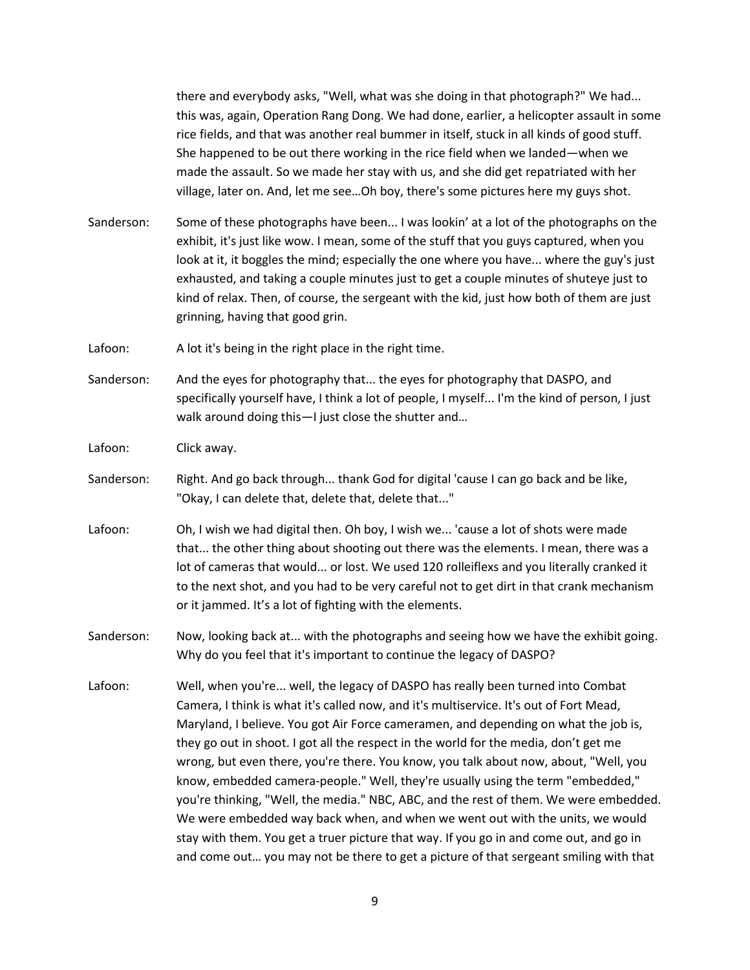there and everybody asks, "Well, what was she doing in that photograph?" We had... this was, again, Operation Rang Dong. We had done, earlier, a helicopter assault in some rice fields, and that was another real bummer in itself, stuck in all kinds of good stuff. She happened to be out there working in the rice field when we landed—when we made the assault. So we made her stay with us, and she did get repatriated with her village, later on. And, let me see…Oh boy, there's some pictures here my guys shot.

Sanderson: Some of these photographs have been... I was lookin' at a lot of the photographs on the exhibit, it's just like wow. I mean, some of the stuff that you guys captured, when you look at it, it boggles the mind; especially the one where you have... where the guy's just exhausted, and taking a couple minutes just to get a couple minutes of shuteye just to kind of relax. Then, of course, the sergeant with the kid, just how both of them are just grinning, having that good grin.

Lafoon: A lot it's being in the right place in the right time.

Sanderson: And the eyes for photography that... the eyes for photography that DASPO, and specifically yourself have, I think a lot of people, I myself... I'm the kind of person, I just walk around doing this—I just close the shutter and…

Lafoon: Click away.

- Sanderson: Right. And go back through... thank God for digital 'cause I can go back and be like, "Okay, I can delete that, delete that, delete that..."
- Lafoon: Oh, I wish we had digital then. Oh boy, I wish we... 'cause a lot of shots were made that... the other thing about shooting out there was the elements. I mean, there was a lot of cameras that would... or lost. We used 120 rolleiflexs and you literally cranked it to the next shot, and you had to be very careful not to get dirt in that crank mechanism or it jammed. It's a lot of fighting with the elements.
- Sanderson: Now, looking back at... with the photographs and seeing how we have the exhibit going. Why do you feel that it's important to continue the legacy of DASPO?
- Lafoon: Well, when you're... well, the legacy of DASPO has really been turned into Combat Camera, I think is what it's called now, and it's multiservice. It's out of Fort Mead, Maryland, I believe. You got Air Force cameramen, and depending on what the job is, they go out in shoot. I got all the respect in the world for the media, don't get me wrong, but even there, you're there. You know, you talk about now, about, "Well, you know, embedded camera-people." Well, they're usually using the term "embedded," you're thinking, "Well, the media." NBC, ABC, and the rest of them. We were embedded. We were embedded way back when, and when we went out with the units, we would stay with them. You get a truer picture that way. If you go in and come out, and go in and come out… you may not be there to get a picture of that sergeant smiling with that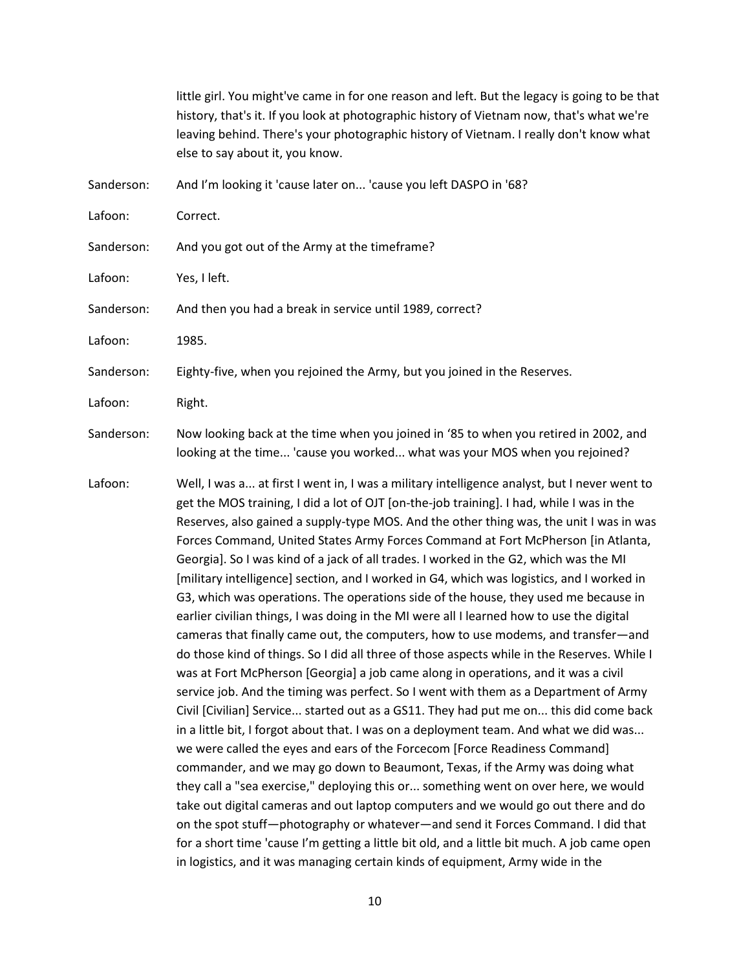|            | little girl. You might've came in for one reason and left. But the legacy is going to be that<br>history, that's it. If you look at photographic history of Vietnam now, that's what we're<br>leaving behind. There's your photographic history of Vietnam. I really don't know what<br>else to say about it, you know.                                                                                                                                                                                                                                                                                                                                                                                                                                                                                                                                                                                                                                                                                                                                                                                                                                                                                                                                                                                                                                                                                                                                                                                                                                                                                                                                                                                                                                                                                                              |
|------------|--------------------------------------------------------------------------------------------------------------------------------------------------------------------------------------------------------------------------------------------------------------------------------------------------------------------------------------------------------------------------------------------------------------------------------------------------------------------------------------------------------------------------------------------------------------------------------------------------------------------------------------------------------------------------------------------------------------------------------------------------------------------------------------------------------------------------------------------------------------------------------------------------------------------------------------------------------------------------------------------------------------------------------------------------------------------------------------------------------------------------------------------------------------------------------------------------------------------------------------------------------------------------------------------------------------------------------------------------------------------------------------------------------------------------------------------------------------------------------------------------------------------------------------------------------------------------------------------------------------------------------------------------------------------------------------------------------------------------------------------------------------------------------------------------------------------------------------|
| Sanderson: | And I'm looking it 'cause later on 'cause you left DASPO in '68?                                                                                                                                                                                                                                                                                                                                                                                                                                                                                                                                                                                                                                                                                                                                                                                                                                                                                                                                                                                                                                                                                                                                                                                                                                                                                                                                                                                                                                                                                                                                                                                                                                                                                                                                                                     |
| Lafoon:    | Correct.                                                                                                                                                                                                                                                                                                                                                                                                                                                                                                                                                                                                                                                                                                                                                                                                                                                                                                                                                                                                                                                                                                                                                                                                                                                                                                                                                                                                                                                                                                                                                                                                                                                                                                                                                                                                                             |
| Sanderson: | And you got out of the Army at the timeframe?                                                                                                                                                                                                                                                                                                                                                                                                                                                                                                                                                                                                                                                                                                                                                                                                                                                                                                                                                                                                                                                                                                                                                                                                                                                                                                                                                                                                                                                                                                                                                                                                                                                                                                                                                                                        |
| Lafoon:    | Yes, I left.                                                                                                                                                                                                                                                                                                                                                                                                                                                                                                                                                                                                                                                                                                                                                                                                                                                                                                                                                                                                                                                                                                                                                                                                                                                                                                                                                                                                                                                                                                                                                                                                                                                                                                                                                                                                                         |
| Sanderson: | And then you had a break in service until 1989, correct?                                                                                                                                                                                                                                                                                                                                                                                                                                                                                                                                                                                                                                                                                                                                                                                                                                                                                                                                                                                                                                                                                                                                                                                                                                                                                                                                                                                                                                                                                                                                                                                                                                                                                                                                                                             |
| Lafoon:    | 1985.                                                                                                                                                                                                                                                                                                                                                                                                                                                                                                                                                                                                                                                                                                                                                                                                                                                                                                                                                                                                                                                                                                                                                                                                                                                                                                                                                                                                                                                                                                                                                                                                                                                                                                                                                                                                                                |
| Sanderson: | Eighty-five, when you rejoined the Army, but you joined in the Reserves.                                                                                                                                                                                                                                                                                                                                                                                                                                                                                                                                                                                                                                                                                                                                                                                                                                                                                                                                                                                                                                                                                                                                                                                                                                                                                                                                                                                                                                                                                                                                                                                                                                                                                                                                                             |
| Lafoon:    | Right.                                                                                                                                                                                                                                                                                                                                                                                                                                                                                                                                                                                                                                                                                                                                                                                                                                                                                                                                                                                                                                                                                                                                                                                                                                                                                                                                                                                                                                                                                                                                                                                                                                                                                                                                                                                                                               |
| Sanderson: | Now looking back at the time when you joined in '85 to when you retired in 2002, and<br>looking at the time 'cause you worked what was your MOS when you rejoined?                                                                                                                                                                                                                                                                                                                                                                                                                                                                                                                                                                                                                                                                                                                                                                                                                                                                                                                                                                                                                                                                                                                                                                                                                                                                                                                                                                                                                                                                                                                                                                                                                                                                   |
| Lafoon:    | Well, I was a at first I went in, I was a military intelligence analyst, but I never went to<br>get the MOS training, I did a lot of OJT [on-the-job training]. I had, while I was in the<br>Reserves, also gained a supply-type MOS. And the other thing was, the unit I was in was<br>Forces Command, United States Army Forces Command at Fort McPherson [in Atlanta,<br>Georgia]. So I was kind of a jack of all trades. I worked in the G2, which was the MI<br>[military intelligence] section, and I worked in G4, which was logistics, and I worked in<br>G3, which was operations. The operations side of the house, they used me because in<br>earlier civilian things, I was doing in the MI were all I learned how to use the digital<br>cameras that finally came out, the computers, how to use modems, and transfer-and<br>do those kind of things. So I did all three of those aspects while in the Reserves. While I<br>was at Fort McPherson [Georgia] a job came along in operations, and it was a civil<br>service job. And the timing was perfect. So I went with them as a Department of Army<br>Civil [Civilian] Service started out as a GS11. They had put me on this did come back<br>in a little bit, I forgot about that. I was on a deployment team. And what we did was<br>we were called the eyes and ears of the Forcecom [Force Readiness Command]<br>commander, and we may go down to Beaumont, Texas, if the Army was doing what<br>they call a "sea exercise," deploying this or something went on over here, we would<br>take out digital cameras and out laptop computers and we would go out there and do<br>on the spot stuff—photography or whatever—and send it Forces Command. I did that<br>for a short time 'cause I'm getting a little bit old, and a little bit much. A job came open |

10

in logistics, and it was managing certain kinds of equipment, Army wide in the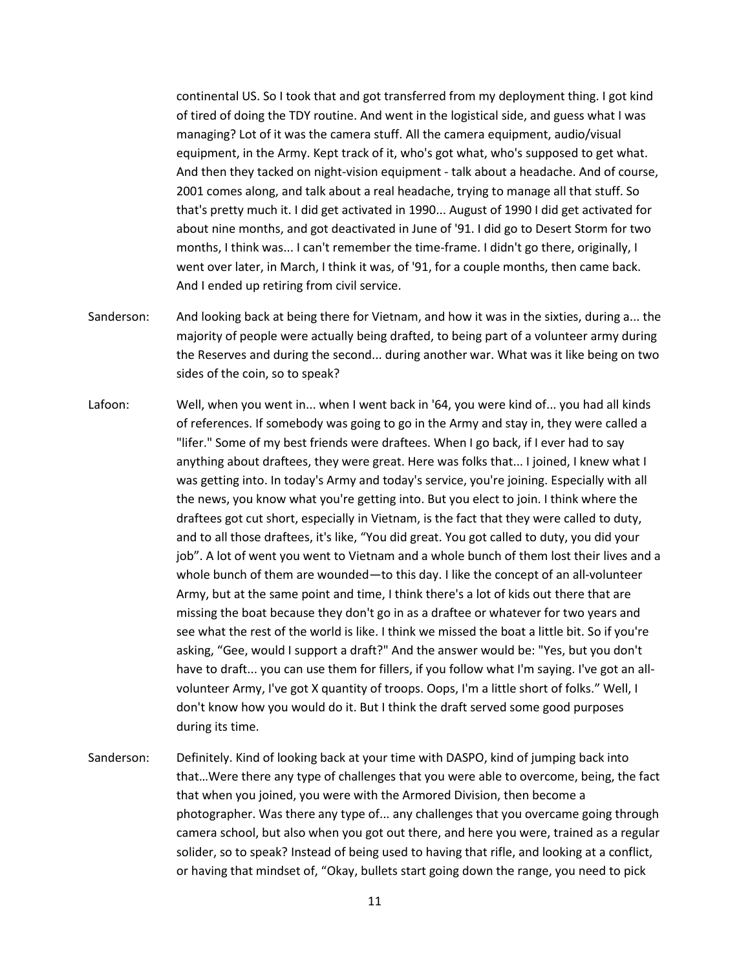continental US. So I took that and got transferred from my deployment thing. I got kind of tired of doing the TDY routine. And went in the logistical side, and guess what I was managing? Lot of it was the camera stuff. All the camera equipment, audio/visual equipment, in the Army. Kept track of it, who's got what, who's supposed to get what. And then they tacked on night-vision equipment - talk about a headache. And of course, 2001 comes along, and talk about a real headache, trying to manage all that stuff. So that's pretty much it. I did get activated in 1990... August of 1990 I did get activated for about nine months, and got deactivated in June of '91. I did go to Desert Storm for two months, I think was... I can't remember the time-frame. I didn't go there, originally, I went over later, in March, I think it was, of '91, for a couple months, then came back. And I ended up retiring from civil service.

- Sanderson: And looking back at being there for Vietnam, and how it was in the sixties, during a... the majority of people were actually being drafted, to being part of a volunteer army during the Reserves and during the second... during another war. What was it like being on two sides of the coin, so to speak?
- Lafoon: Well, when you went in... when I went back in '64, you were kind of... you had all kinds of references. If somebody was going to go in the Army and stay in, they were called a "lifer." Some of my best friends were draftees. When I go back, if I ever had to say anything about draftees, they were great. Here was folks that... I joined, I knew what I was getting into. In today's Army and today's service, you're joining. Especially with all the news, you know what you're getting into. But you elect to join. I think where the draftees got cut short, especially in Vietnam, is the fact that they were called to duty, and to all those draftees, it's like, "You did great. You got called to duty, you did your job". A lot of went you went to Vietnam and a whole bunch of them lost their lives and a whole bunch of them are wounded—to this day. I like the concept of an all-volunteer Army, but at the same point and time, I think there's a lot of kids out there that are missing the boat because they don't go in as a draftee or whatever for two years and see what the rest of the world is like. I think we missed the boat a little bit. So if you're asking, "Gee, would I support a draft?" And the answer would be: "Yes, but you don't have to draft... you can use them for fillers, if you follow what I'm saying. I've got an allvolunteer Army, I've got X quantity of troops. Oops, I'm a little short of folks." Well, I don't know how you would do it. But I think the draft served some good purposes during its time.
- Sanderson: Definitely. Kind of looking back at your time with DASPO, kind of jumping back into that…Were there any type of challenges that you were able to overcome, being, the fact that when you joined, you were with the Armored Division, then become a photographer. Was there any type of... any challenges that you overcame going through camera school, but also when you got out there, and here you were, trained as a regular solider, so to speak? Instead of being used to having that rifle, and looking at a conflict, or having that mindset of, "Okay, bullets start going down the range, you need to pick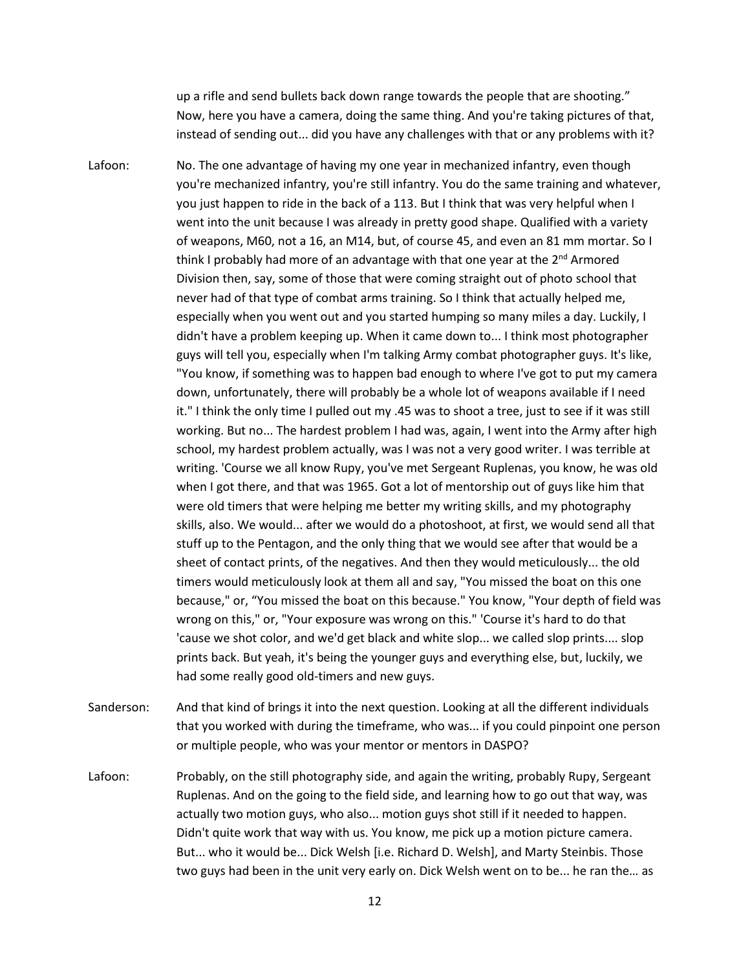up a rifle and send bullets back down range towards the people that are shooting." Now, here you have a camera, doing the same thing. And you're taking pictures of that, instead of sending out... did you have any challenges with that or any problems with it?

- Lafoon: No. The one advantage of having my one year in mechanized infantry, even though you're mechanized infantry, you're still infantry. You do the same training and whatever, you just happen to ride in the back of a 113. But I think that was very helpful when I went into the unit because I was already in pretty good shape. Qualified with a variety of weapons, M60, not a 16, an M14, but, of course 45, and even an 81 mm mortar. So I think I probably had more of an advantage with that one year at the  $2^{nd}$  Armored Division then, say, some of those that were coming straight out of photo school that never had of that type of combat arms training. So I think that actually helped me, especially when you went out and you started humping so many miles a day. Luckily, I didn't have a problem keeping up. When it came down to... I think most photographer guys will tell you, especially when I'm talking Army combat photographer guys. It's like, "You know, if something was to happen bad enough to where I've got to put my camera down, unfortunately, there will probably be a whole lot of weapons available if I need it." I think the only time I pulled out my .45 was to shoot a tree, just to see if it was still working. But no... The hardest problem I had was, again, I went into the Army after high school, my hardest problem actually, was I was not a very good writer. I was terrible at writing. 'Course we all know Rupy, you've met Sergeant Ruplenas, you know, he was old when I got there, and that was 1965. Got a lot of mentorship out of guys like him that were old timers that were helping me better my writing skills, and my photography skills, also. We would... after we would do a photoshoot, at first, we would send all that stuff up to the Pentagon, and the only thing that we would see after that would be a sheet of contact prints, of the negatives. And then they would meticulously... the old timers would meticulously look at them all and say, "You missed the boat on this one because," or, "You missed the boat on this because." You know, "Your depth of field was wrong on this," or, "Your exposure was wrong on this." 'Course it's hard to do that 'cause we shot color, and we'd get black and white slop... we called slop prints.... slop prints back. But yeah, it's being the younger guys and everything else, but, luckily, we had some really good old-timers and new guys.
- Sanderson: And that kind of brings it into the next question. Looking at all the different individuals that you worked with during the timeframe, who was... if you could pinpoint one person or multiple people, who was your mentor or mentors in DASPO?
- Lafoon: Probably, on the still photography side, and again the writing, probably Rupy, Sergeant Ruplenas. And on the going to the field side, and learning how to go out that way, was actually two motion guys, who also... motion guys shot still if it needed to happen. Didn't quite work that way with us. You know, me pick up a motion picture camera. But... who it would be... Dick Welsh [i.e. Richard D. Welsh], and Marty Steinbis. Those two guys had been in the unit very early on. Dick Welsh went on to be... he ran the… as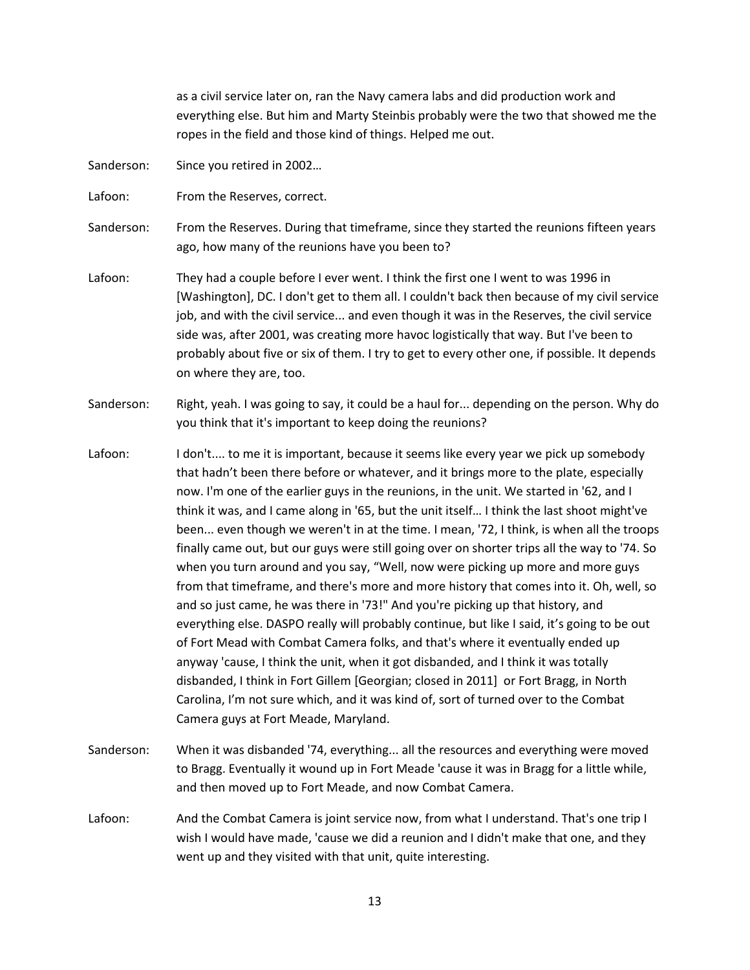as a civil service later on, ran the Navy camera labs and did production work and everything else. But him and Marty Steinbis probably were the two that showed me the ropes in the field and those kind of things. Helped me out.

Sanderson: Since you retired in 2002...

Lafoon: From the Reserves, correct.

Sanderson: From the Reserves. During that timeframe, since they started the reunions fifteen years ago, how many of the reunions have you been to?

- Lafoon: They had a couple before I ever went. I think the first one I went to was 1996 in [Washington], DC. I don't get to them all. I couldn't back then because of my civil service job, and with the civil service... and even though it was in the Reserves, the civil service side was, after 2001, was creating more havoc logistically that way. But I've been to probably about five or six of them. I try to get to every other one, if possible. It depends on where they are, too.
- Sanderson: Right, yeah. I was going to say, it could be a haul for... depending on the person. Why do you think that it's important to keep doing the reunions?
- Lafoon: I don't.... to me it is important, because it seems like every year we pick up somebody that hadn't been there before or whatever, and it brings more to the plate, especially now. I'm one of the earlier guys in the reunions, in the unit. We started in '62, and I think it was, and I came along in '65, but the unit itself… I think the last shoot might've been... even though we weren't in at the time. I mean, '72, I think, is when all the troops finally came out, but our guys were still going over on shorter trips all the way to '74. So when you turn around and you say, "Well, now were picking up more and more guys from that timeframe, and there's more and more history that comes into it. Oh, well, so and so just came, he was there in '73!" And you're picking up that history, and everything else. DASPO really will probably continue, but like I said, it's going to be out of Fort Mead with Combat Camera folks, and that's where it eventually ended up anyway 'cause, I think the unit, when it got disbanded, and I think it was totally disbanded, I think in Fort Gillem [Georgian; closed in 2011] or Fort Bragg, in North Carolina, I'm not sure which, and it was kind of, sort of turned over to the Combat Camera guys at Fort Meade, Maryland.
- Sanderson: When it was disbanded '74, everything... all the resources and everything were moved to Bragg. Eventually it wound up in Fort Meade 'cause it was in Bragg for a little while, and then moved up to Fort Meade, and now Combat Camera.
- Lafoon: And the Combat Camera is joint service now, from what I understand. That's one trip I wish I would have made, 'cause we did a reunion and I didn't make that one, and they went up and they visited with that unit, quite interesting.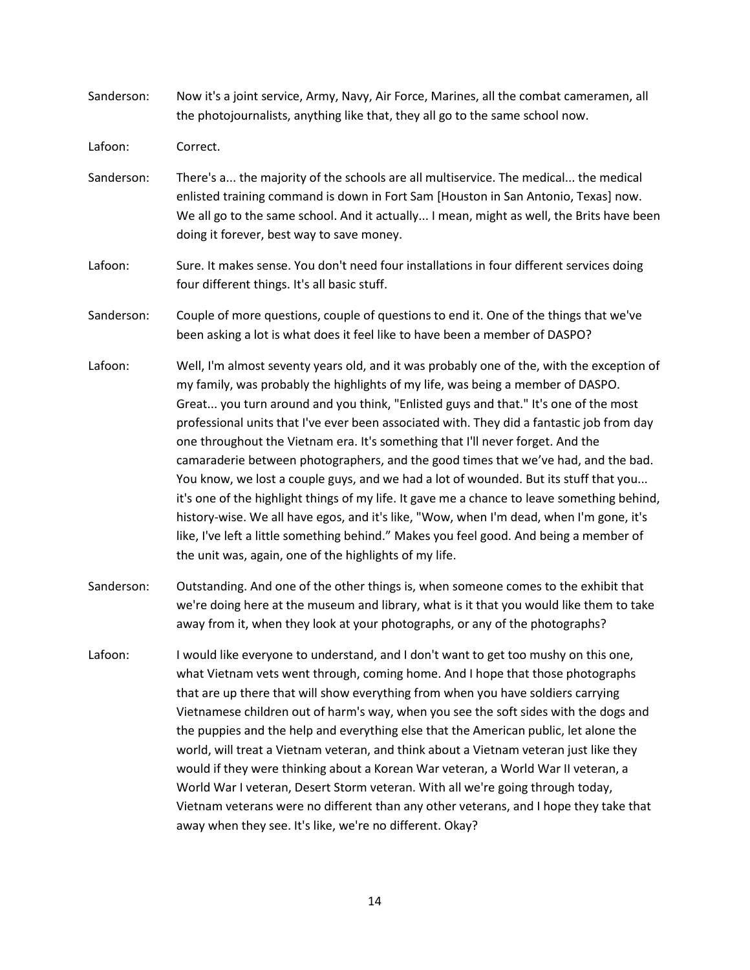- Sanderson: Now it's a joint service, Army, Navy, Air Force, Marines, all the combat cameramen, all the photojournalists, anything like that, they all go to the same school now.
- Lafoon: Correct.
- Sanderson: There's a... the majority of the schools are all multiservice. The medical... the medical enlisted training command is down in Fort Sam [Houston in San Antonio, Texas] now. We all go to the same school. And it actually... I mean, might as well, the Brits have been doing it forever, best way to save money.
- Lafoon: Sure. It makes sense. You don't need four installations in four different services doing four different things. It's all basic stuff.
- Sanderson: Couple of more questions, couple of questions to end it. One of the things that we've been asking a lot is what does it feel like to have been a member of DASPO?
- Lafoon: Well, I'm almost seventy years old, and it was probably one of the, with the exception of my family, was probably the highlights of my life, was being a member of DASPO. Great... you turn around and you think, "Enlisted guys and that." It's one of the most professional units that I've ever been associated with. They did a fantastic job from day one throughout the Vietnam era. It's something that I'll never forget. And the camaraderie between photographers, and the good times that we've had, and the bad. You know, we lost a couple guys, and we had a lot of wounded. But its stuff that you... it's one of the highlight things of my life. It gave me a chance to leave something behind, history-wise. We all have egos, and it's like, "Wow, when I'm dead, when I'm gone, it's like, I've left a little something behind." Makes you feel good. And being a member of the unit was, again, one of the highlights of my life.
- Sanderson: Outstanding. And one of the other things is, when someone comes to the exhibit that we're doing here at the museum and library, what is it that you would like them to take away from it, when they look at your photographs, or any of the photographs?
- Lafoon: I would like everyone to understand, and I don't want to get too mushy on this one, what Vietnam vets went through, coming home. And I hope that those photographs that are up there that will show everything from when you have soldiers carrying Vietnamese children out of harm's way, when you see the soft sides with the dogs and the puppies and the help and everything else that the American public, let alone the world, will treat a Vietnam veteran, and think about a Vietnam veteran just like they would if they were thinking about a Korean War veteran, a World War II veteran, a World War I veteran, Desert Storm veteran. With all we're going through today, Vietnam veterans were no different than any other veterans, and I hope they take that away when they see. It's like, we're no different. Okay?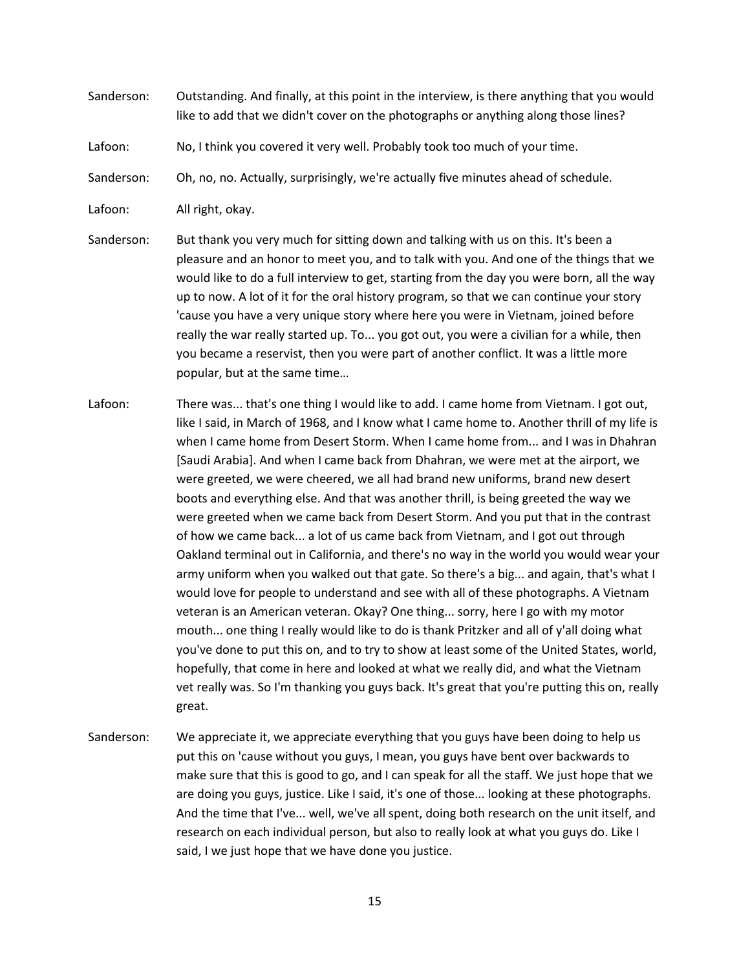- Sanderson: Outstanding. And finally, at this point in the interview, is there anything that you would like to add that we didn't cover on the photographs or anything along those lines?
- Lafoon: No, I think you covered it very well. Probably took too much of your time.
- Sanderson: Oh, no, no. Actually, surprisingly, we're actually five minutes ahead of schedule.
- Lafoon: All right, okay.
- Sanderson: But thank you very much for sitting down and talking with us on this. It's been a pleasure and an honor to meet you, and to talk with you. And one of the things that we would like to do a full interview to get, starting from the day you were born, all the way up to now. A lot of it for the oral history program, so that we can continue your story 'cause you have a very unique story where here you were in Vietnam, joined before really the war really started up. To... you got out, you were a civilian for a while, then you became a reservist, then you were part of another conflict. It was a little more popular, but at the same time…
- Lafoon: There was... that's one thing I would like to add. I came home from Vietnam. I got out, like I said, in March of 1968, and I know what I came home to. Another thrill of my life is when I came home from Desert Storm. When I came home from... and I was in Dhahran [Saudi Arabia]. And when I came back from Dhahran, we were met at the airport, we were greeted, we were cheered, we all had brand new uniforms, brand new desert boots and everything else. And that was another thrill, is being greeted the way we were greeted when we came back from Desert Storm. And you put that in the contrast of how we came back... a lot of us came back from Vietnam, and I got out through Oakland terminal out in California, and there's no way in the world you would wear your army uniform when you walked out that gate. So there's a big... and again, that's what I would love for people to understand and see with all of these photographs. A Vietnam veteran is an American veteran. Okay? One thing... sorry, here I go with my motor mouth... one thing I really would like to do is thank Pritzker and all of y'all doing what you've done to put this on, and to try to show at least some of the United States, world, hopefully, that come in here and looked at what we really did, and what the Vietnam vet really was. So I'm thanking you guys back. It's great that you're putting this on, really great.
- Sanderson: We appreciate it, we appreciate everything that you guys have been doing to help us put this on 'cause without you guys, I mean, you guys have bent over backwards to make sure that this is good to go, and I can speak for all the staff. We just hope that we are doing you guys, justice. Like I said, it's one of those... looking at these photographs. And the time that I've... well, we've all spent, doing both research on the unit itself, and research on each individual person, but also to really look at what you guys do. Like I said, I we just hope that we have done you justice.